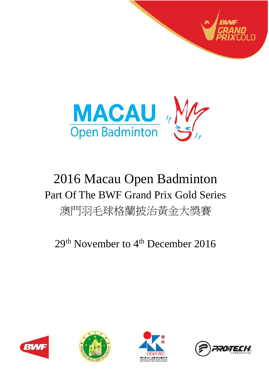



# 2016 Macau Open Badminton Part Of The BWF Grand Prix Gold Series 澳門羽毛球格蘭披治黃金大獎賽

## 29<sup>th</sup> November to 4<sup>th</sup> December 2016







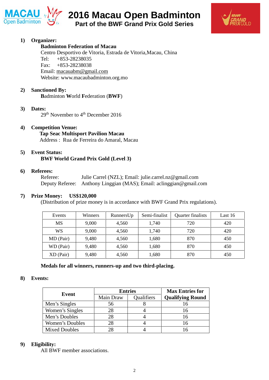



## **1) Organizer:**

## **Badminton Federation of Macau**

Centro Desportivo de Vitoria, Estrada de Vitoria,Macau, China Tel: +853-28238035 Fax: +853-28238038 Email: macauabm@gmail.com Website: www.macaubadminton.org.mo

## **2) Sanctioned By:**

**B**adminton **W**orld **F**ederation (**BWF**)

## **3) Dates:**

29<sup>th</sup> November to 4<sup>th</sup> December 2016

## **4) Competition Venue:**

**Tap Seac Multisport Pavilion Macau** Address : Rua de Ferreira do Amaral, Macau

#### **5) Event Status: BWF World Grand Prix Gold (Level 3)**

#### **6) Referees:**

Referee: Julie Carrel (NZL); Email: julie.carrel.nz@gmail.com Deputy Referee: Anthony Linggian (MAS); Email: aclinggian@gmail.com

## **7) Prize Money: US\$120,000**

(Distribution of prize money is in accordance with BWF Grand Prix regulations).

| Events      | Winners | RunnersUp | Semi-finalist | Quarter finalists | Last 16 |
|-------------|---------|-----------|---------------|-------------------|---------|
| MS          | 9,000   | 4,560     | 1,740         | 720               | 420     |
| WS          | 9,000   | 4,560     | 1,740         | 720               | 420     |
| MD (Pair)   | 9,480   | 4,560     | 1,680         | 870               | 450     |
| WD (Pair)   | 9,480   | 4,560     | 1,680         | 870               | 450     |
| $XD$ (Pair) | 9,480   | 4,560     | 1,680         | 870               | 450     |

#### **Medals for all winners, runners-up and two third-placing.**

#### **8) Events:**

| Event                |           | <b>Entries</b>    | <b>Max Entries for</b>  |  |
|----------------------|-----------|-------------------|-------------------------|--|
|                      | Main Draw | <b>Qualifiers</b> | <b>Qualifying Round</b> |  |
| Men's Singles        | 56        |                   |                         |  |
| Women's Singles      | 28        |                   | 16                      |  |
| Men's Doubles        | 28        |                   | 16                      |  |
| Women's Doubles      |           |                   | 16                      |  |
| <b>Mixed Doubles</b> |           |                   |                         |  |

## **9) Eligibility:**

All BWF member associations.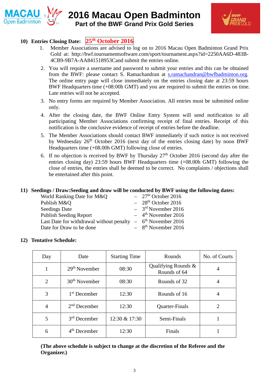



## **10) Entries Closing Date: 25 th October 2016**

- 1. Member Associations are advised to log on to 2016 Macau Open Badminton Grand Prix Gold at: http://bwf.tournamentsoftware.com/sport/tournament.aspx?id=2250AA6D-483B- 4CB9-9B7A-AA841518953Cand submit the entries online.
- 2. You will require a username and password to submit your entries and this can be obtained from the BWF: please contact S. Ramachandran at s.ramachandran@bwfbadminton.org. The online entry page will close immediately on the entries closing date at 23:59 hours BWF Headquarters time (+08:00h GMT) and you are required to submit the entries on time. Late entries will not be accepted.
- 3. No entry forms are required by Member Association. All entries must be submitted online only.
- 4. After the closing date, the BWF Online Entry System will send notification to all participating Member Associations confirming receipt of final entries. Receipt of this notification is the conclusive evidence of receipt of entries before the deadline.
- 5. The Member Associations should contact BWF immediately if such notice is not received by Wednesday 26<sup>th</sup> October 2016 (next day of the entries closing date) by noon BWF Headquarters time (+08.00h GMT) following close of entries.
- 6. If no objection is received by BWF by Thursday  $27<sup>th</sup>$  October 2016 (second day after the entries closing day) 23:59 hours BWF Headquarters time (+08.00h GMT) following the close of entries, the entries shall be deemed to be correct. No complaints / objections shall be entertained after this point.

## **11) Seedings / Draw:Seeding and draw will be conducted by BWF using the following dates:**

| $-27th$ October 2016                                                      |
|---------------------------------------------------------------------------|
| $-28th$ October 2016                                                      |
| $-3^{rd}$ November 2016                                                   |
| $-4$ <sup>th</sup> November 2016                                          |
| Last Date for withdrawal without penalty $-6$ <sup>th</sup> November 2016 |
| $-8$ <sup>th</sup> November 2016                                          |
|                                                                           |

## **12) Tentative Schedule:**

| Day            | Date                     | <b>Starting Time</b> | Rounds                              | No. of Courts |
|----------------|--------------------------|----------------------|-------------------------------------|---------------|
| 1              | $29th$ November          | 08:30                | Qualifying Rounds &<br>Rounds of 64 | 4             |
| $\overline{2}$ | $30th$ November          | 08:30                | Rounds of 32                        | 4             |
| 3              | 1 <sup>st</sup> December | 12:30                | Rounds of 16                        | 4             |
| $\overline{4}$ | $2nd$ December           | 12:30                | Quarter-Finals                      | 2             |
| 5              | $3rd$ December           | 12:30 & 17:30        | Semi-Finals                         |               |
| 6              | $4th$ December           | 12:30                | Finals                              |               |

**(The above schedule is subject to change at the discretion of the Referee and the Organizer.)**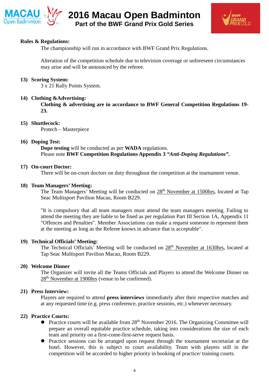



## **Rules & Regulations:**

The championship will run in accordance with BWF Grand Prix Regulations.

Alteration of the competition schedule due to television coverage or unforeseen circumstances may arise and will be announced by the referee.

#### **13) Scoring System:**

3 x 21 Rally Points System.

#### **14) Clothing &Advertising:**

**Clothing & advertising are in accordance to BWF General Competition Regulations 19- 23.**

#### **15) Shuttlecock:**

Protech – Masterpiece

#### **16) Doping Test:**

**Dope testing** will be conducted as per **WADA** regulations. Please note **BWF Competition Regulations Appendix 3** *"Anti-Doping Regulations".*

#### **17) On-court Doctor:**

There will be on-court doctors on duty throughout the competition at the tournament venue.

## **18) Team Managers' Meeting:**

The Team Managers' Meeting will be conducted on  $28<sup>th</sup>$  November at 1500hrs, located at Tap Seac Multisport Pavilion Macau, Room B229.

"It is compulsory that all team managers must attend the team managers meeting. Failing to attend the meeting they are liable to be fined as per regulation Part III Section 1A, Appendix 11 "Offences and Penalties". Member Associations can make a request someone to represent them at the meeting as long as the Referee knows in advance that is acceptable".

## **19) Technical Officials' Meeting:**

The Technical Officials' Meeting will be conducted on  $28<sup>th</sup>$  November at 1630hrs, located at Tap Seac Multisport Pavilion Macau, Room B229.

#### **20) Welcome Dinner**

The Organizer will invite all the Teams Officials and Players to attend the Welcome Dinner on 28<sup>th</sup> November at 1900hrs (venue to be confirmed).

#### **21) Press Interview:**

Players are required to attend **press interviews** immediately after their respective matches and at any requested time (e.g. press conference, practice sessions, etc.) whenever necessary.

#### **22) Practice Courts:**

- Practice courts will be available from 28<sup>th</sup> November 2016. The Organizing Committee will prepare an overall equitable practice schedule, taking into considerations the size of each team and priority on a first-come-first-serve request basis.
- Practice sessions can be arranged upon request through the tournament secretariat at the hotel. However, this is subject to court availability. Team with players still in the competition will be accorded to higher priority in booking of practice/ training courts.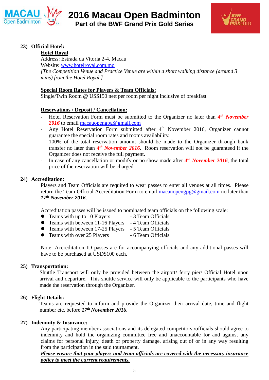



## **23) Official Hotel:**

## **Hotel Royal**

Address: Estrada da Vitoria 2-4, Macau Website: www.hotelroyal.com.mo

*[The Competition Venue and Practice Venue are within a short walking distance (around 3 mins) from the Hotel Royal.]*

## **Special Room Rates for Players & Team Officials:**

Single/Twin Room @ US\$150 nett per room per night inclusive of breakfast

## **Reservations / Deposit / Cancellation:**

- Hotel Reservation Form must be submitted to the Organizer no later than  $4<sup>th</sup>$  *November* 2016 to email macauopengpg@gmail.com
- Any Hotel Reservation Form submitted after 4<sup>th</sup> November 2016, Organizer cannot guarantee the special room rates and rooms availability.
- 100% of the total reservation amount should be made to the Organizer through bank transfer no later than *4 th November 2016*. Room reservation will not be guaranteed if the Organizer does not receive the full payment.
- In case of any cancellation or modify or no show made after *4 th November 2016*, the total price of the reservation will be charged.

## **24) Accreditation:**

Players and Team Officials are required to wear passes to enter all venues at all times. Please return the Team Official Accreditation Form to email macauopengpg@gmail.com no later than *17 th November 2016*.

Accreditation passes will be issued to nominated team officials on the following scale:

- Teams with up to 10 Players 3 Team Officials
- Teams with between 11-16 Players 4 Team Officials
- Teams with between 17-25 Players 5 Team Officials
- Teams with over 25 Players 6 Team Officials

Note: Accreditation ID passes are for accompanying officials and any additional passes will have to be purchased at USD\$100 each.

#### **25) Transportation:**

Shuttle Transport will only be provided between the airport/ ferry pier/ Official Hotel upon arrival and departure. This shuttle service will only be applicable to the participants who have made the reservation through the Organizer.

## **26) Flight Details:**

Teams are requested to inform and provide the Organizer their arrival date, time and flight number etc. before *17 th November 2016***.**

## **27) Indemnity & Insurance:**

Any participating member associations and its delegated competitors /officials should agree to indemnity and hold the organizing committee free and unaccountable for and against any claims for personal injury, death or property damage, arising out of or in any way resulting from the participation in the said tournament.

*Please ensure that your players and team officials are covered with the necessary insurance policy to meet the current requirements.*